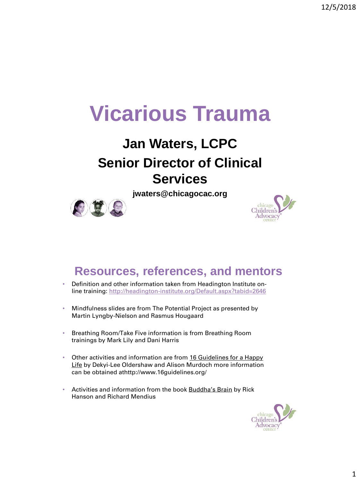# **Vicarious Trauma**

# **Jan Waters, LCPC Senior Director of Clinical Services**

**jwaters@chicagocac.org**



#### **Resources, references, and mentors**

- Definition and other information taken from Headington Institute online training:<http://headington-institute.org/Default.aspx?tabid=2646>
- Mindfulness slides are from The Potential Project as presented by Martin Lyngby-Nielson and Rasmus Hougaard
- Breathing Room/Take Five information is from Breathing Room trainings by Mark Lily and Dani Harris
- Other activities and information are from 16 Guidelines for a Happy Life by Dekyi-Lee Oldershaw and Alison Murdoch more information can be obtained athttp://www.16guidelines.org/
- Activities and information from the book Buddha's Brain by Rick Hanson and Richard Mendius

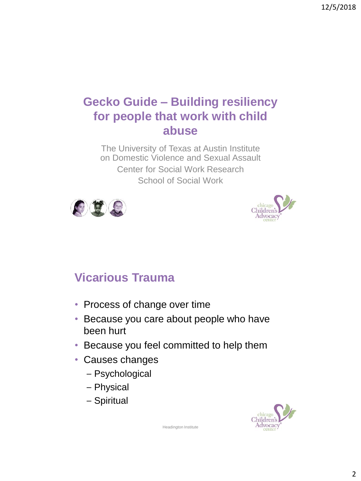#### **Gecko Guide – Building resiliency for people that work with child abuse**

The University of Texas at Austin Institute on Domestic Violence and Sexual Assault Center for Social Work Research School of Social Work





### **Vicarious Trauma**

- Process of change over time
- Because you care about people who have been hurt
- Because you feel committed to help them
- Causes changes
	- Psychological
	- Physical
	- Spiritual



Headington Institute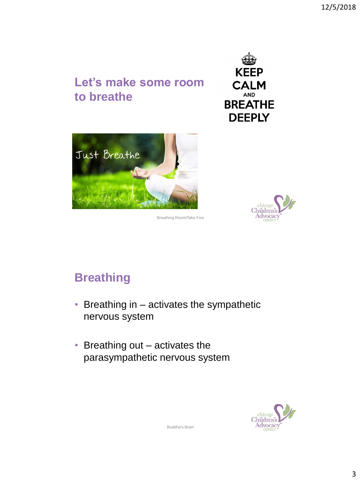### **Let's make some room to breathe**







Breathing Room/Take Five

# **Breathing**

- Breathing in activates the sympathetic nervous system
- Breathing out activates the parasympathetic nervous system



Buddha's Brain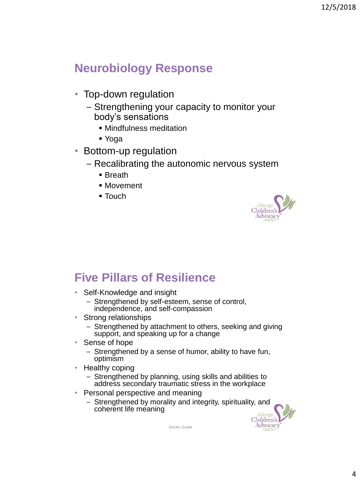#### **Neurobiology Response**

- Top-down regulation
	- Strengthening your capacity to monitor your body's sensations
		- **.** Mindfulness meditation
		- Yoga
- Bottom-up regulation
	- Recalibrating the autonomic nervous system
		- Breath
		- Movement
		- $\blacksquare$  Touch



#### **Five Pillars of Resilience**

- Self-Knowledge and insight
	- Strengthened by self-esteem, sense of control, independence, and self-compassion
- Strong relationships
	- Strengthened by attachment to others, seeking and giving support, and speaking up for a change
- Sense of hope
	- Strengthened by a sense of humor, ability to have fun, optimism
- Healthy coping
	- Strengthened by planning, using skills and abilities to address secondary traumatic stress in the workplace
- Personal perspective and meaning
	- Strengthened by morality and integrity, spirituality, and coherent life meaning



Gecko Guide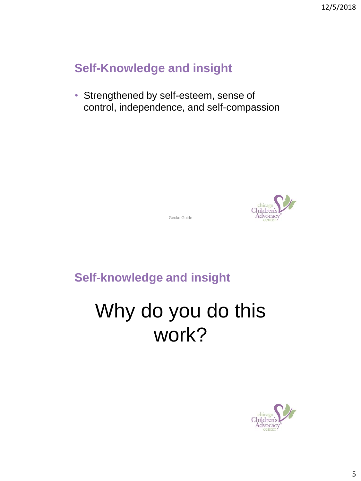#### **Self-Knowledge and insight**

• Strengthened by self-esteem, sense of control, independence, and self-compassion



Gecko Guide

**Self-knowledge and insight**

# Why do you do this work?

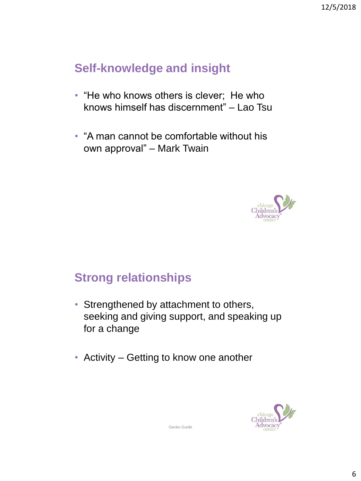#### **Self-knowledge and insight**

- "He who knows others is clever; He who knows himself has discernment" – Lao Tsu
- "A man cannot be comfortable without his own approval" – Mark Twain



#### **Strong relationships**

- Strengthened by attachment to others, seeking and giving support, and speaking up for a change
- Activity Getting to know one another



Gecko Guide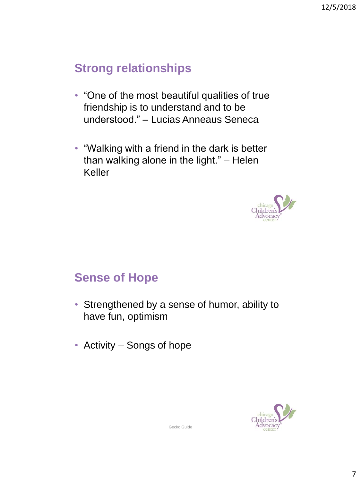#### **Strong relationships**

- "One of the most beautiful qualities of true friendship is to understand and to be understood." – Lucias Anneaus Seneca
- "Walking with a friend in the dark is better than walking alone in the light." – Helen Keller



#### **Sense of Hope**

- Strengthened by a sense of humor, ability to have fun, optimism
- Activity Songs of hope



Gecko Guide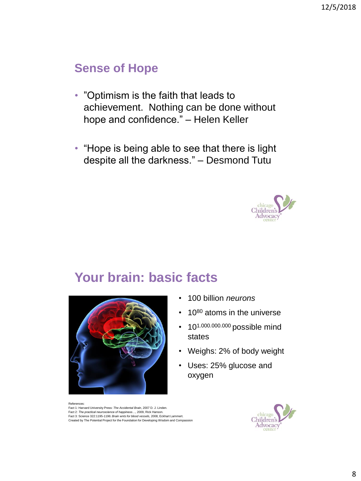#### **Sense of Hope**

- "Optimism is the faith that leads to achievement. Nothing can be done without hope and confidence." – Helen Keller
- "Hope is being able to see that there is light despite all the darkness." – Desmond Tutu



#### **Your brain: basic facts**



#### • 100 billion *neurons*

- 10<sup>80</sup> atoms in the universe
- 10<sup>1.000.000.000</sup> possible mind states
- Weighs: 2% of body weight
- Uses: 25% glucose and oxygen

Fact 1: Harvard University Press: *The Accidental Brain*, 2007 D. J. Linden. Fact 2: *The practical neuroscience of happiness…,* 2009, Rick Hanson. Fact 3: Science 322:1195-1196: *Brain wnts for blood vessels*, 2008, Eckhart Lammert. Created by The Potential Project for the Foundation for Developing Wisdom and Compassion



References: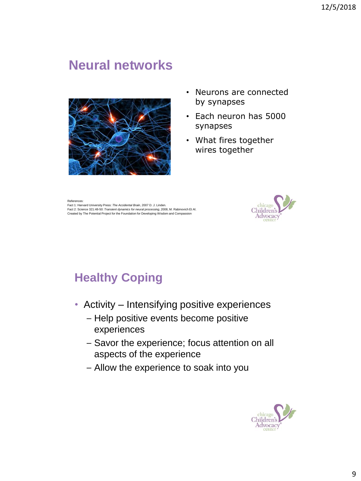#### **Neural networks**



- Neurons are connected by synapses
- Each neuron has 5000 synapses
- What fires together wires together

Reference

Fact 1: Harvard University Press: *The Accidental Brain*, 2007 D. J. Linden. Fact 2: Science 321:48-50: *Transient dynamics for neural processing*, 2008, M. Rabinovich Et Al. Created by The Potential Project for the Foundation for Developing Wisdom and Compassion



# **Healthy Coping**

- Activity Intensifying positive experiences
	- Help positive events become positive experiences
	- Savor the experience; focus attention on all aspects of the experience
	- Allow the experience to soak into you

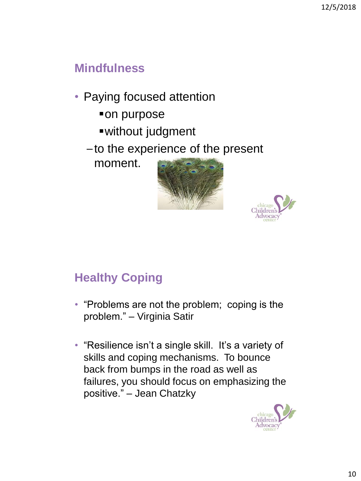#### **Mindfulness**

- Paying focused attention
	- on purpose
	- ▪without judgment
	- to the experience of the present

moment.





### **Healthy Coping**

- "Problems are not the problem; coping is the problem." – Virginia Satir
- "Resilience isn't a single skill. It's a variety of skills and coping mechanisms. To bounce back from bumps in the road as well as failures, you should focus on emphasizing the positive." – Jean Chatzky

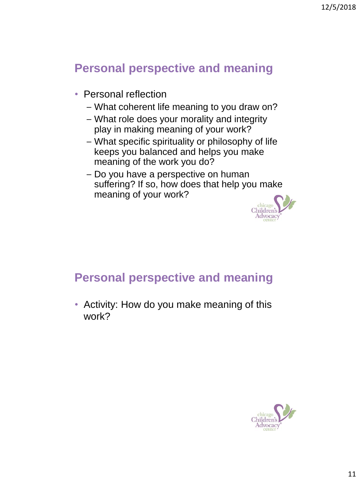#### **Personal perspective and meaning**

- Personal reflection
	- What coherent life meaning to you draw on?
	- What role does your morality and integrity play in making meaning of your work?
	- What specific spirituality or philosophy of life keeps you balanced and helps you make meaning of the work you do?
	- Do you have a perspective on human suffering? If so, how does that help you make meaning of your work?



#### **Personal perspective and meaning**

• Activity: How do you make meaning of this work?